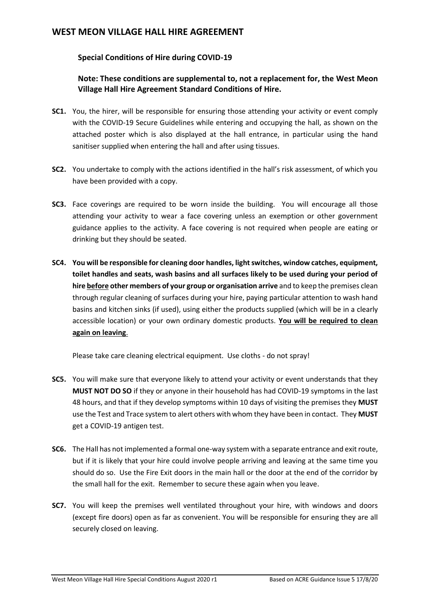# **WEST MEON VILLAGE HALL HIRE AGREEMENT**

#### **Special Conditions of Hire during COVID-19**

### **Note: These conditions are supplemental to, not a replacement for, the West Meon Village Hall Hire Agreement Standard Conditions of Hire.**

- **SC1.** You, the hirer, will be responsible for ensuring those attending your activity or event comply with the COVID-19 Secure Guidelines while entering and occupying the hall, as shown on the attached poster which is also displayed at the hall entrance, in particular using the hand sanitiser supplied when entering the hall and after using tissues.
- **SC2.** You undertake to comply with the actions identified in the hall's risk assessment, of which you have been provided with a copy.
- **SC3.** Face coverings are required to be worn inside the building. You will encourage all those attending your activity to wear a face covering unless an exemption or other government guidance applies to the activity. A face covering is not required when people are eating or drinking but they should be seated.
- **SC4. You will be responsible for cleaning door handles, light switches, window catches, equipment, toilet handles and seats, wash basins and all surfaces likely to be used during your period of hire before other members of your group or organisation arrive** and to keep the premises clean through regular cleaning of surfaces during your hire, paying particular attention to wash hand basins and kitchen sinks (if used), using either the products supplied (which will be in a clearly accessible location) or your own ordinary domestic products. **You will be required to clean again on leaving**.

Please take care cleaning electrical equipment. Use cloths - do not spray!

- **SC5.** You will make sure that everyone likely to attend your activity or event understands that they **MUST NOT DO SO** if they or anyone in their household has had COVID-19 symptoms in the last 48 hours, and that if they develop symptoms within 10 days of visiting the premises they **MUST** use the Test and Trace system to alert others with whom they have been in contact. They **MUST**  get a COVID-19 antigen test.
- **SC6.** The Hall has not implemented a formal one-way system with a separate entrance and exit route, but if it is likely that your hire could involve people arriving and leaving at the same time you should do so. Use the Fire Exit doors in the main hall or the door at the end of the corridor by the small hall for the exit. Remember to secure these again when you leave.
- **SC7.** You will keep the premises well ventilated throughout your hire, with windows and doors (except fire doors) open as far as convenient. You will be responsible for ensuring they are all securely closed on leaving.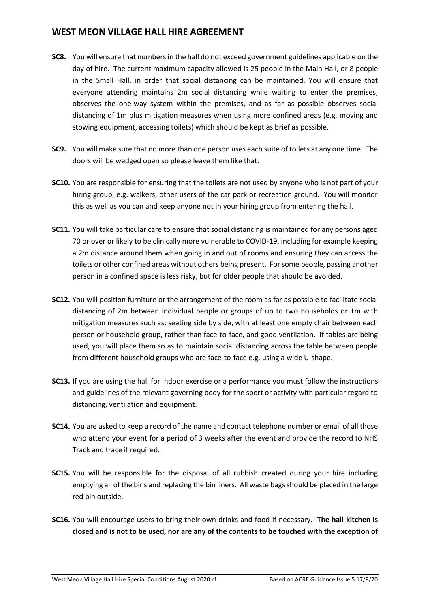# **WEST MEON VILLAGE HALL HIRE AGREEMENT**

- **SC8.** You will ensure that numbers in the hall do not exceed government guidelines applicable on the day of hire. The current maximum capacity allowed is 25 people in the Main Hall, or 8 people in the Small Hall, in order that social distancing can be maintained. You will ensure that everyone attending maintains 2m social distancing while waiting to enter the premises, observes the one-way system within the premises, and as far as possible observes social distancing of 1m plus mitigation measures when using more confined areas (e.g. moving and stowing equipment, accessing toilets) which should be kept as brief as possible.
- **SC9.** You will make sure that no more than one person uses each suite of toilets at any one time. The doors will be wedged open so please leave them like that.
- **SC10.** You are responsible for ensuring that the toilets are not used by anyone who is not part of your hiring group, e.g. walkers, other users of the car park or recreation ground. You will monitor this as well as you can and keep anyone not in your hiring group from entering the hall.
- **SC11.** You will take particular care to ensure that social distancing is maintained for any persons aged 70 or over or likely to be clinically more vulnerable to COVID-19, including for example keeping a 2m distance around them when going in and out of rooms and ensuring they can access the toilets or other confined areas without others being present. For some people, passing another person in a confined space is less risky, but for older people that should be avoided.
- **SC12.** You will position furniture or the arrangement of the room as far as possible to facilitate social distancing of 2m between individual people or groups of up to two households or 1m with mitigation measures such as: seating side by side, with at least one empty chair between each person or household group, rather than face-to-face, and good ventilation. If tables are being used, you will place them so as to maintain social distancing across the table between people from different household groups who are face-to-face e.g. using a wide U-shape.
- **SC13.** If you are using the hall for indoor exercise or a performance you must follow the instructions and guidelines of the relevant governing body for the sport or activity with particular regard to distancing, ventilation and equipment.
- **SC14.** You are asked to keep a record of the name and contact telephone number or email of all those who attend your event for a period of 3 weeks after the event and provide the record to NHS Track and trace if required.
- **SC15.** You will be responsible for the disposal of all rubbish created during your hire including emptying all of the bins and replacing the bin liners. All waste bags should be placed in the large red bin outside.
- **SC16.** You will encourage users to bring their own drinks and food if necessary. **The hall kitchen is closed and is not to be used, nor are any of the contents to be touched with the exception of**